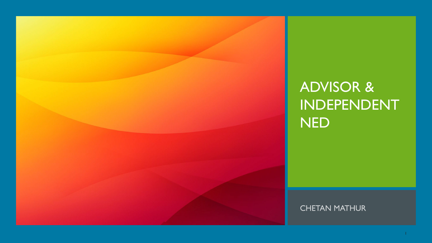

# ADVISOR & INDEPENDENT NED

**CHETAN MATHUR**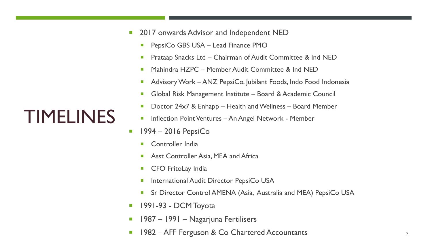- 2017 onwards Advisor and Independent NED
	- **PepsiCo GBS USA Lead Finance PMO**
	- **Prataap Snacks Ltd Chairman of Audit Committee & Ind NED**
	- **Mahindra HZPC Member Audit Committee & Ind NED**
	- Advisory Work ANZ PepsiCo, Jubilant Foods, Indo Food Indonesia
	- Global Risk Management Institute Board & Academic Council
	- Doctor 24x7 & Enhapp Health and Wellness Board Member
	- **Inflection Point Ventures An Angel Network Member**
- $1994 2016$  PepsiCo
	- **E** Controller India
	- **Asst Controller Asia, MEA and Africa**
	- **CFO FritoLay India**
	- **International Audit Director PepsiCo USA**
	- Sr Director Control AMENA (Asia, Australia and MEA) PepsiCo USA
- **1991-93 DCM Toyota**
- **1987 1991 Nagarjuna Fertilisers**
- **1982 AFF Ferguson & Co Chartered Accountants** 2

# TIMELINES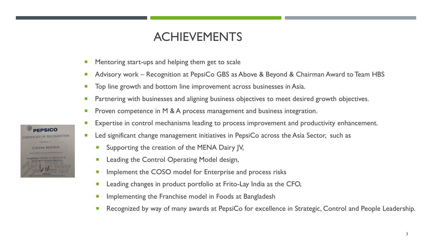### ACHIEVEMENTS

- **Mentoring start-ups and helping them get to scale**
- Advisory work Recognition at PepsiCo GBS as Above & Beyond & Chairman Award to Team HBS
- Top line growth and bottom line improvement across businesses in Asia.
- **Partnering with businesses and aligning business objectives to meet desired growth objectives.**
- **Proven competence in M & A process management and business integration.**
- **Expertise in control mechanisms leading to process improvement and productivity enhancement.**
- **Led significant change management initiatives in PepsiCo across the Asia Sector, such as** 
	- **Supporting the creation of the MENA Dairy JV,**
	- **Leading the Control Operating Model design,**
	- **Implement the COSO model for Enterprise and process risks**
	- **EXECT** Leading changes in product portfolio at Frito-Lay India as the CFO,
	- **Implementing the Franchise model in Foods at Bangladesh**
	- Recognized by way of many awards at PepsiCo for excellence in Strategic, Control and People Leadership.

**PEPSICO** CERTIFICATE OF RECOGNITION **CHETAN MATHUR**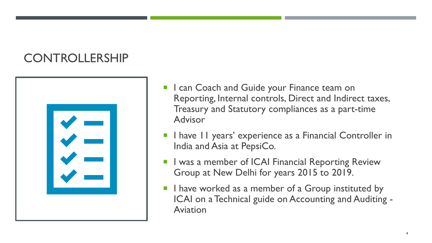# CONTROLLERSHIP



- I can Coach and Guide your Finance team on Reporting, Internal controls, Direct and Indirect taxes, Treasury and Statutory compliances as a part-time Advisor
- I have 11 years' experience as a Financial Controller in India and Asia at PepsiCo.
- I was a member of ICAI Financial Reporting Review Group at New Delhi for years 2015 to 2019.
- I have worked as a member of a Group instituted by ICAI on a Technical guide on Accounting and Auditing - Aviation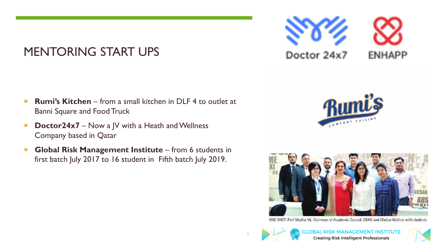# MENTORING START UPS

- **Rumi's Kitchen** from a small kitchen in DLF 4 to outlet at Banni Square and Food Truck
- **Doctor24x7** Now a JV with a Heath and Wellness Company based in Qatar
- **Global Risk Management Institute** from 6 students in first batch July 2017 to 16 student in Fifth batch July 2019.



ENHAPP

Doctor 24x7



ONE SHOT: Prof Madhu Vij, Chairman of Academic Council, GRMI and Chetan Mathur with students



5

**MANAGEMENT INSTITUTE Creating Risk Intelligent Professionals** 

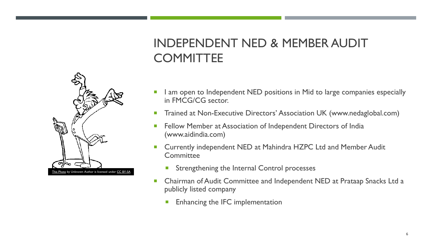# INDEPENDENT NED & MEMBER AUDIT **COMMITTEE**



- I am open to Independent NED positions in Mid to large companies especially in FMCG/CG sector.
- Trained at Non-Executive Directors' Association UK (www.nedaglobal.com)
- Fellow Member at Association of Independent Directors of India (www.aidindia.com)
- Currently independent NED at Mahindra HZPC Ltd and Member Audit **Committee** 
	- **Strengthening the Internal Control processes**
- Chairman of Audit Committee and Independent NED at Prataap Snacks Ltd a publicly listed company
	- Enhancing the IFC implementation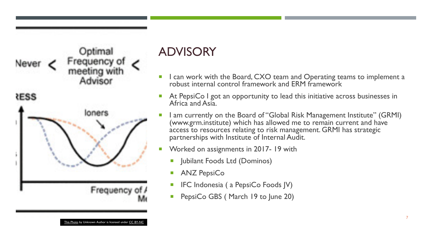

### ADVISORY

- I can work with the Board, CXO team and Operating teams to implement a robust internal control framework and ERM framework
- At PepsiCo I got an opportunity to lead this initiative across businesses in Africa and Asia.
- I am currently on the Board of "Global Risk Management Institute" (GRMI) (www.grm.institute) which has allowed me to remain current and have access to resources relating to risk management. GRMI has strategic partnerships with Institute of Internal Audit.
- Worked on assignments in 2017- 19 with
	- **Jubilant Foods Ltd (Dominos)**
	- **ANZ PepsiCo**
	- $\blacksquare$  IFC Indonesia ( a PepsiCo Foods JV)
	- **PepsiCo GBS (March 19 to June 20)**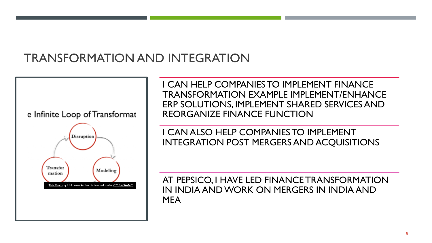# TRANSFORMATION AND INTEGRATION

e Infinite Loop of Transformat



I CAN HELP COMPANIES TO IMPLEMENT FINANCE TRANSFORMATION EXAMPLE IMPLEMENT/ENHANCE ERP SOLUTIONS, IMPLEMENT SHARED SERVICES AND REORGANIZE FINANCE FUNCTION

I CAN ALSO HELP COMPANIES TO IMPLEMENT INTEGRATION POST MERGERS AND ACQUISITIONS

AT PEPSICO, I HAVE LED FINANCE TRANSFORMATION IN INDIA AND WORK ON MERGERS IN INDIA AND MEA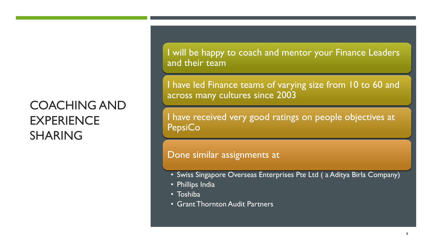# COACHING AND **EXPERIENCE** SHARING

I will be happy to coach and mentor your Finance Leaders and their team

I have led Finance teams of varying size from 10 to 60 and across many cultures since 2003

I have received very good ratings on people objectives at **PepsiCo** 

#### Done similar assignments at

- Swiss Singapore Overseas Enterprises Pte Ltd ( a Aditya Birla Company)
- Phillips India
- Toshiba
- Grant Thornton Audit Partners